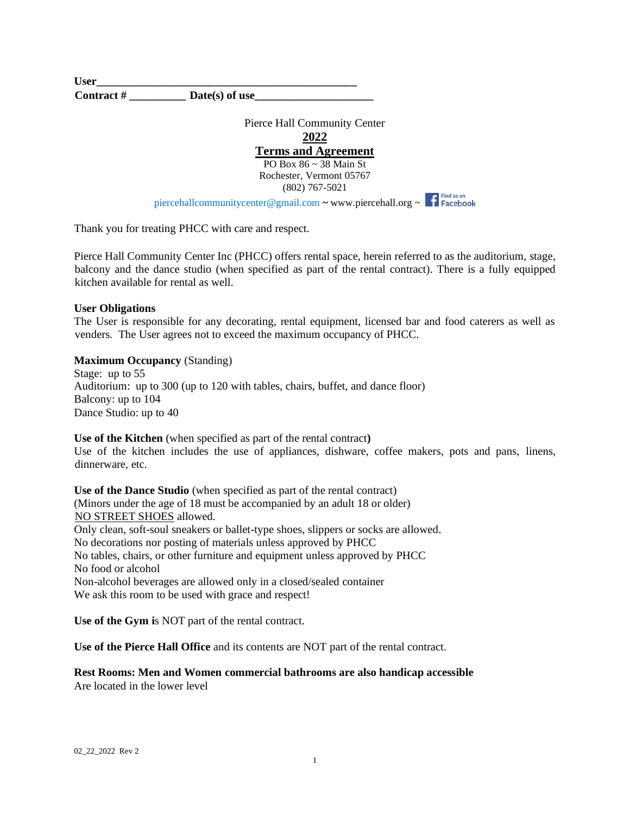**User\_\_\_\_\_\_\_\_\_\_\_\_\_\_\_\_\_\_\_\_\_\_\_\_\_\_\_\_\_\_\_\_\_\_\_\_\_\_\_\_\_\_\_\_\_\_**  Contract # \_\_\_\_\_\_\_\_\_\_\_\_\_\_ **Date(s)** of use

> Pierce Hall Community Center **2022 Terms and Agreement** PO Box 86 ~ 38 Main St Rochester, Vermont 05767 (802) 767-5021

piercehallcommunitycenter@gmail.com ~ [www.piercehall.org](http://www.piercehall.org/) ~

Thank you for treating PHCC with care and respect.

Pierce Hall Community Center Inc (PHCC) offers rental space, herein referred to as the auditorium, stage, balcony and the dance studio (when specified as part of the rental contract). There is a fully equipped kitchen available for rental as well.

# **User Obligations**

The User is responsible for any decorating, rental equipment, licensed bar and food caterers as well as venders. The User agrees not to exceed the maximum occupancy of PHCC.

# **Maximum Occupancy** (Standing)

Stage: up to 55 Auditorium: up to 300 (up to 120 with tables, chairs, buffet, and dance floor) Balcony: up to 104 Dance Studio: up to 40

**Use of the Kitchen** (when specified as part of the rental contract**)** Use of the kitchen includes the use of appliances, dishware, coffee makers, pots and pans, linens, dinnerware, etc.

**Use of the Dance Studio** (when specified as part of the rental contract) (Minors under the age of 18 must be accompanied by an adult 18 or older) NO STREET SHOES allowed. Only clean, soft-soul sneakers or ballet-type shoes, slippers or socks are allowed. No decorations nor posting of materials unless approved by PHCC No tables, chairs, or other furniture and equipment unless approved by PHCC No food or alcohol Non-alcohol beverages are allowed only in a closed/sealed container We ask this room to be used with grace and respect!

**Use of the Gym i**s NOT part of the rental contract.

**Use of the Pierce Hall Office** and its contents are NOT part of the rental contract.

**Rest Rooms: Men and Women commercial bathrooms are also handicap accessible** Are located in the lower level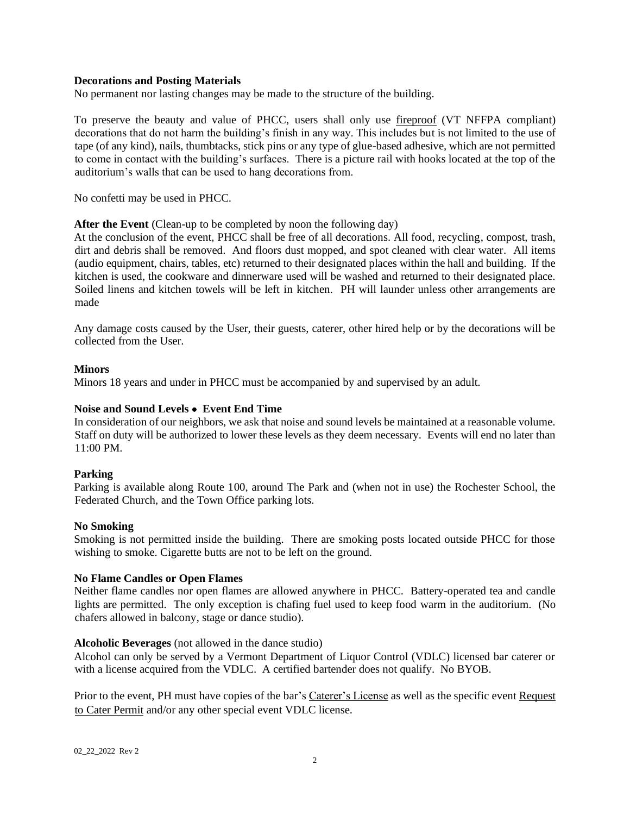# **Decorations and Posting Materials**

No permanent nor lasting changes may be made to the structure of the building.

To preserve the beauty and value of PHCC, users shall only use fireproof (VT NFFPA compliant) decorations that do not harm the building's finish in any way. This includes but is not limited to the use of tape (of any kind), nails, thumbtacks, stick pins or any type of glue-based adhesive, which are not permitted to come in contact with the building's surfaces. There is a picture rail with hooks located at the top of the auditorium's walls that can be used to hang decorations from.

No confetti may be used in PHCC.

# After the Event (Clean-up to be completed by noon the following day)

At the conclusion of the event, PHCC shall be free of all decorations. All food, recycling, compost, trash, dirt and debris shall be removed. And floors dust mopped, and spot cleaned with clear water. All items (audio equipment, chairs, tables, etc) returned to their designated places within the hall and building. If the kitchen is used, the cookware and dinnerware used will be washed and returned to their designated place. Soiled linens and kitchen towels will be left in kitchen. PH will launder unless other arrangements are made

Any damage costs caused by the User, their guests, caterer, other hired help or by the decorations will be collected from the User.

# **Minors**

Minors 18 years and under in PHCC must be accompanied by and supervised by an adult.

# **Noise and Sound Levels** • **Event End Time**

In consideration of our neighbors, we ask that noise and sound levels be maintained at a reasonable volume. Staff on duty will be authorized to lower these levels as they deem necessary. Events will end no later than 11:00 PM.

# **Parking**

Parking is available along Route 100, around The Park and (when not in use) the Rochester School, the Federated Church, and the Town Office parking lots.

#### **No Smoking**

Smoking is not permitted inside the building. There are smoking posts located outside PHCC for those wishing to smoke. Cigarette butts are not to be left on the ground.

#### **No Flame Candles or Open Flames**

Neither flame candles nor open flames are allowed anywhere in PHCC. Battery-operated tea and candle lights are permitted. The only exception is chafing fuel used to keep food warm in the auditorium. (No chafers allowed in balcony, stage or dance studio).

#### **Alcoholic Beverages** (not allowed in the dance studio)

Alcohol can only be served by a Vermont Department of Liquor Control (VDLC) licensed bar caterer or with a license acquired from the VDLC. A certified bartender does not qualify. No BYOB.

Prior to the event, PH must have copies of the bar's Caterer's License as well as the specific event Request to Cater Permit and/or any other special event VDLC license.